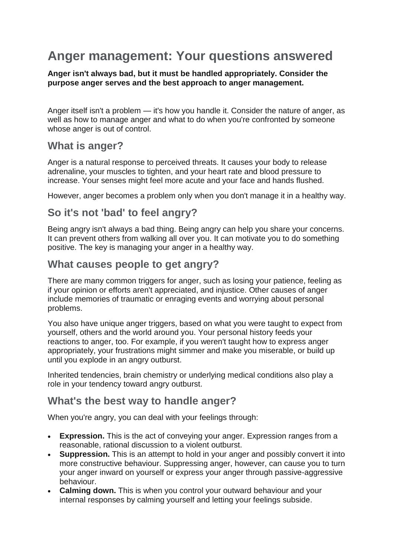# **Anger management: Your questions answered**

**Anger isn't always bad, but it must be handled appropriately. Consider the purpose anger serves and the best approach to anger management.**

Anger itself isn't a problem — it's how you handle it. Consider the nature of anger, as well as how to manage anger and what to do when you're confronted by someone whose anger is out of control.

## **What is anger?**

Anger is a natural response to perceived threats. It causes your body to release adrenaline, your muscles to tighten, and your heart rate and blood pressure to increase. Your senses might feel more acute and your face and hands flushed.

However, anger becomes a problem only when you don't manage it in a healthy way.

# **So it's not 'bad' to feel angry?**

Being angry isn't always a bad thing. Being angry can help you share your concerns. It can prevent others from walking all over you. It can motivate you to do something positive. The key is managing your anger in a healthy way.

#### **What causes people to get angry?**

There are many common triggers for anger, such as losing your patience, feeling as if your opinion or efforts aren't appreciated, and injustice. Other causes of anger include memories of traumatic or enraging events and worrying about personal problems.

You also have unique anger triggers, based on what you were taught to expect from yourself, others and the world around you. Your personal history feeds your reactions to anger, too. For example, if you weren't taught how to express anger appropriately, your frustrations might simmer and make you miserable, or build up until you explode in an angry outburst.

Inherited tendencies, brain chemistry or underlying medical conditions also play a role in your tendency toward angry outburst.

## **What's the best way to handle anger?**

When you're angry, you can deal with your feelings through:

- **Expression.** This is the act of conveying your anger. Expression ranges from a reasonable, rational discussion to a violent outburst.
- **Suppression.** This is an attempt to hold in your anger and possibly convert it into more constructive behaviour. Suppressing anger, however, can cause you to turn your anger inward on yourself or express your anger through passive-aggressive behaviour.
- **Calming down.** This is when you control your outward behaviour and your internal responses by calming yourself and letting your feelings subside.